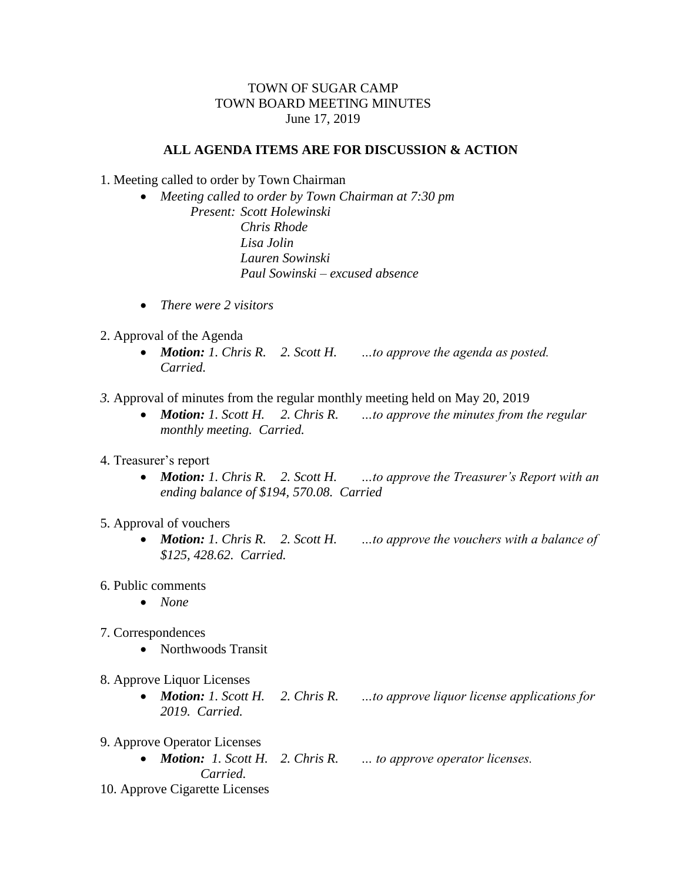## TOWN OF SUGAR CAMP TOWN BOARD MEETING MINUTES June 17, 2019

## **ALL AGENDA ITEMS ARE FOR DISCUSSION & ACTION**

- 1. Meeting called to order by Town Chairman
	- *Meeting called to order by Town Chairman at 7:30 pm Present: Scott Holewinski Chris Rhode Lisa Jolin Lauren Sowinski Paul Sowinski – excused absence*
	- *There were 2 visitors*
- 2. Approval of the Agenda
	- *Motion: 1. Chris R. 2. Scott H. …to approve the agenda as posted. Carried.*
- *3.* Approval of minutes from the regular monthly meeting held on May 20, 2019
	- *Motion: 1. Scott H. 2. Chris R. …to approve the minutes from the regular monthly meeting. Carried.*
- 4. Treasurer's report
	- *Motion: 1. Chris R. 2. Scott H. …to approve the Treasurer's Report with an ending balance of \$194, 570.08. Carried*
- 5. Approval of vouchers
	- *Motion: 1. Chris R. 2. Scott H. …to approve the vouchers with a balance of \$125, 428.62. Carried.*
- 6. Public comments
	- *None*
- 7. Correspondences
	- Northwoods Transit
- 8. Approve Liquor Licenses
	- *Motion: 1. Scott H. 2. Chris R. …to approve liquor license applications for 2019. Carried.*
- 9. Approve Operator Licenses
	- *Motion: 1. Scott H. 2. Chris R. … to approve operator licenses. Carried.*
- 10. Approve Cigarette Licenses